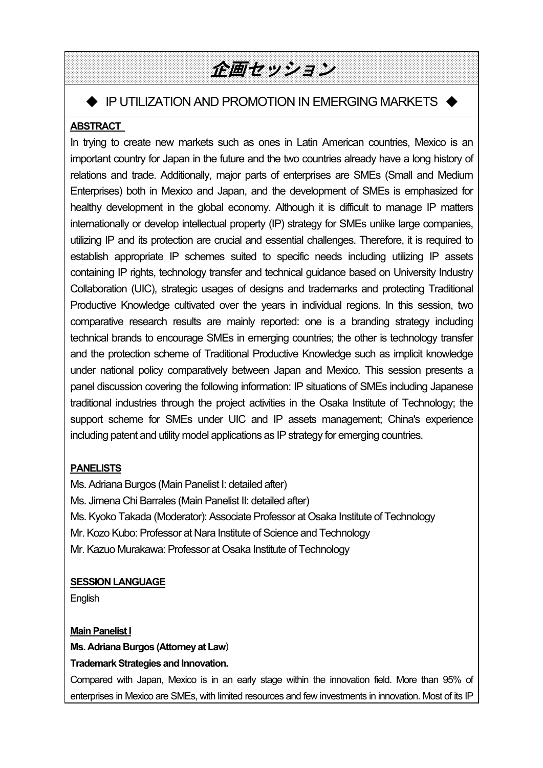# 企画セッション

# ◆ IP UTILIZATION AND PROMOTION IN EMERGING MARKETS ◆

## **ABSTRACT**

 $\mathsf{L}$  Enterprises) both in Mexico and Japan, and the development of SMEs is emphasized for  $\mathsf{L}$ In trying to create new markets such as ones in Latin American countries, Mexico is an important country for Japan in the future and the two countries already have a long history of relations and trade. Additionally, major parts of enterprises are SMEs (Small and Medium healthy development in the global economy. Although it is difficult to manage IP matters internationally or develop intellectual property (IP) strategy for SMEs unlike large companies, utilizing IP and its protection are crucial and essential challenges. Therefore, it is required to establish appropriate IP schemes suited to specific needs including utilizing IP assets containing IP rights, technology transfer and technical guidance based on University Industry Collaboration (UIC), strategic usages of designs and trademarks and protecting Traditional Productive Knowledge cultivated over the years in individual regions. In this session, two comparative research results are mainly reported: one is a branding strategy including technical brands to encourage SMEs in emerging countries; the other is technology transfer and the protection scheme of Traditional Productive Knowledge such as implicit knowledge under national policy comparatively between Japan and Mexico. This session presents a panel discussion covering the following information: IP situations of SMEs including Japanese traditional industries through the project activities in the Osaka Institute of Technology; the support scheme for SMEs under UIC and IP assets management; China's experience including patent and utility model applications as IP strategy for emerging countries.

## **PANELISTS**

Ms. Adriana Burgos (Main Panelist I: detailed after) Ms. Jimena Chi Barrales (Main Panelist II: detailed after) Ms. Kyoko Takada (Moderator): Associate Professor at Osaka Institute of Technology Mr. Kozo Kubo: Professor at Nara Institute of Science and Technology Mr. Kazuo Murakawa: Professor at Osaka Institute of Technology

## **SESSION LANGUAGE**

**English** 

**Main Panelist I Ms. Adriana Burgos (Attorney at Law**)

## **Trademark Strategies and Innovation.**

Compared with Japan, Mexico is in an early stage within the innovation field. More than 95% of enterprises in Mexico are SMEs, with limited resources and few investments in innovation. Most of its IP